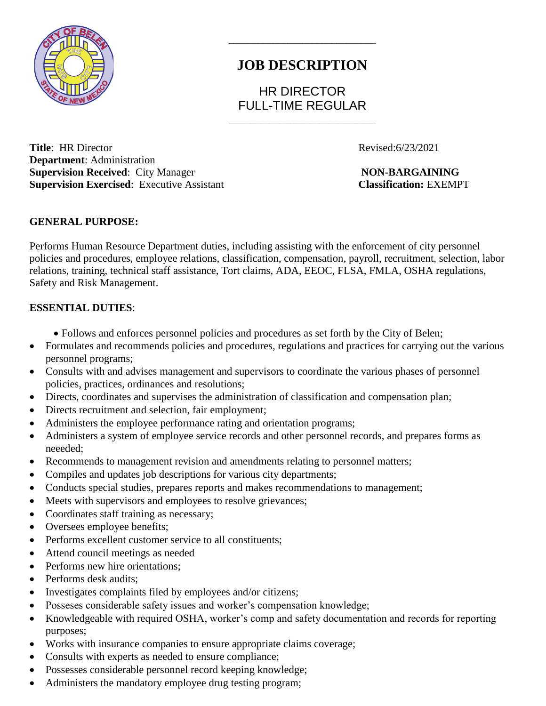

# **JOB DESCRIPTION**

\_\_\_\_\_\_\_\_\_\_\_\_\_\_\_\_\_\_\_\_\_\_\_\_\_\_\_\_\_\_

HR DIRECTOR FULL-TIME REGULAR

\_\_\_\_\_\_\_\_\_\_\_\_\_\_\_\_\_\_\_\_\_\_\_\_\_\_\_\_\_\_\_\_\_\_\_\_\_\_\_\_\_\_\_\_\_\_\_\_\_\_\_\_\_\_\_

**Title**: HR Director Revised:6/23/2021 **Department**: Administration **Supervision Received:** City Manager **NON-BARGAINING Supervision Exercised**: Executive Assistant **Classification:** EXEMPT

### **GENERAL PURPOSE:**

Performs Human Resource Department duties, including assisting with the enforcement of city personnel policies and procedures, employee relations, classification, compensation, payroll, recruitment, selection, labor relations, training, technical staff assistance, Tort claims, ADA, EEOC, FLSA, FMLA, OSHA regulations, Safety and Risk Management.

#### **ESSENTIAL DUTIES**:

- Follows and enforces personnel policies and procedures as set forth by the City of Belen;
- Formulates and recommends policies and procedures, regulations and practices for carrying out the various personnel programs;
- Consults with and advises management and supervisors to coordinate the various phases of personnel policies, practices, ordinances and resolutions;
- Directs, coordinates and supervises the administration of classification and compensation plan;
- Directs recruitment and selection, fair employment;
- Administers the employee performance rating and orientation programs;
- Administers a system of employee service records and other personnel records, and prepares forms as neeeded;
- Recommends to management revision and amendments relating to personnel matters;
- Compiles and updates job descriptions for various city departments;
- Conducts special studies, prepares reports and makes recommendations to management;
- Meets with supervisors and employees to resolve grievances;
- Coordinates staff training as necessary;
- Oversees employee benefits;
- Performs excellent customer service to all constituents;
- Attend council meetings as needed
- Performs new hire orientations:
- Performs desk audits:
- Investigates complaints filed by employees and/or citizens;
- Posseses considerable safety issues and worker's compensation knowledge;
- Knowledgeable with required OSHA, worker's comp and safety documentation and records for reporting purposes;
- Works with insurance companies to ensure appropriate claims coverage;
- Consults with experts as needed to ensure compliance;
- Possesses considerable personnel record keeping knowledge;
- Administers the mandatory employee drug testing program;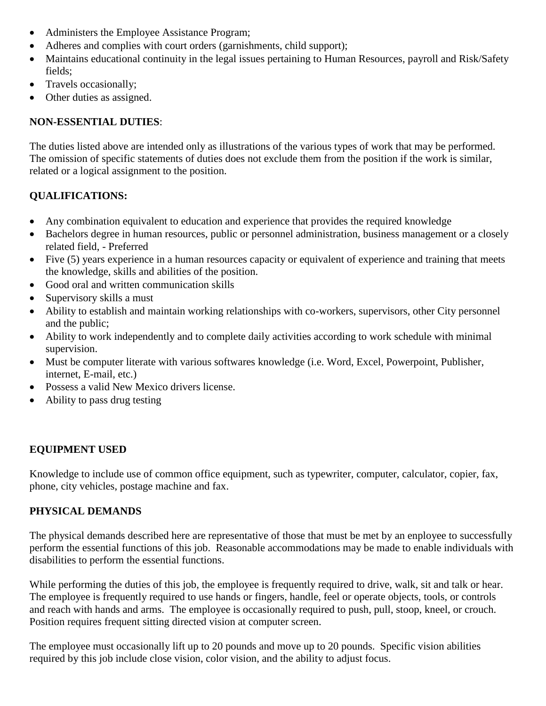- Administers the Employee Assistance Program;
- Adheres and complies with court orders (garnishments, child support);
- Maintains educational continuity in the legal issues pertaining to Human Resources, payroll and Risk/Safety fields;
- Travels occasionally;
- Other duties as assigned.

# **NON-ESSENTIAL DUTIES**:

The duties listed above are intended only as illustrations of the various types of work that may be performed. The omission of specific statements of duties does not exclude them from the position if the work is similar, related or a logical assignment to the position.

# **QUALIFICATIONS:**

- Any combination equivalent to education and experience that provides the required knowledge
- Bachelors degree in human resources, public or personnel administration, business management or a closely related field, - Preferred
- Five (5) years experience in a human resources capacity or equivalent of experience and training that meets the knowledge, skills and abilities of the position.
- Good oral and written communication skills
- Supervisory skills a must
- Ability to establish and maintain working relationships with co-workers, supervisors, other City personnel and the public;
- Ability to work independently and to complete daily activities according to work schedule with minimal supervision.
- Must be computer literate with various softwares knowledge (i.e. Word, Excel, Powerpoint, Publisher, internet, E-mail, etc.)
- Possess a valid New Mexico drivers license.
- Ability to pass drug testing

## **EQUIPMENT USED**

Knowledge to include use of common office equipment, such as typewriter, computer, calculator, copier, fax, phone, city vehicles, postage machine and fax.

#### **PHYSICAL DEMANDS**

The physical demands described here are representative of those that must be met by an enployee to successfully perform the essential functions of this job. Reasonable accommodations may be made to enable individuals with disabilities to perform the essential functions.

While performing the duties of this job, the employee is frequently required to drive, walk, sit and talk or hear. The employee is frequently required to use hands or fingers, handle, feel or operate objects, tools, or controls and reach with hands and arms. The employee is occasionally required to push, pull, stoop, kneel, or crouch. Position requires frequent sitting directed vision at computer screen.

The employee must occasionally lift up to 20 pounds and move up to 20 pounds. Specific vision abilities required by this job include close vision, color vision, and the ability to adjust focus.